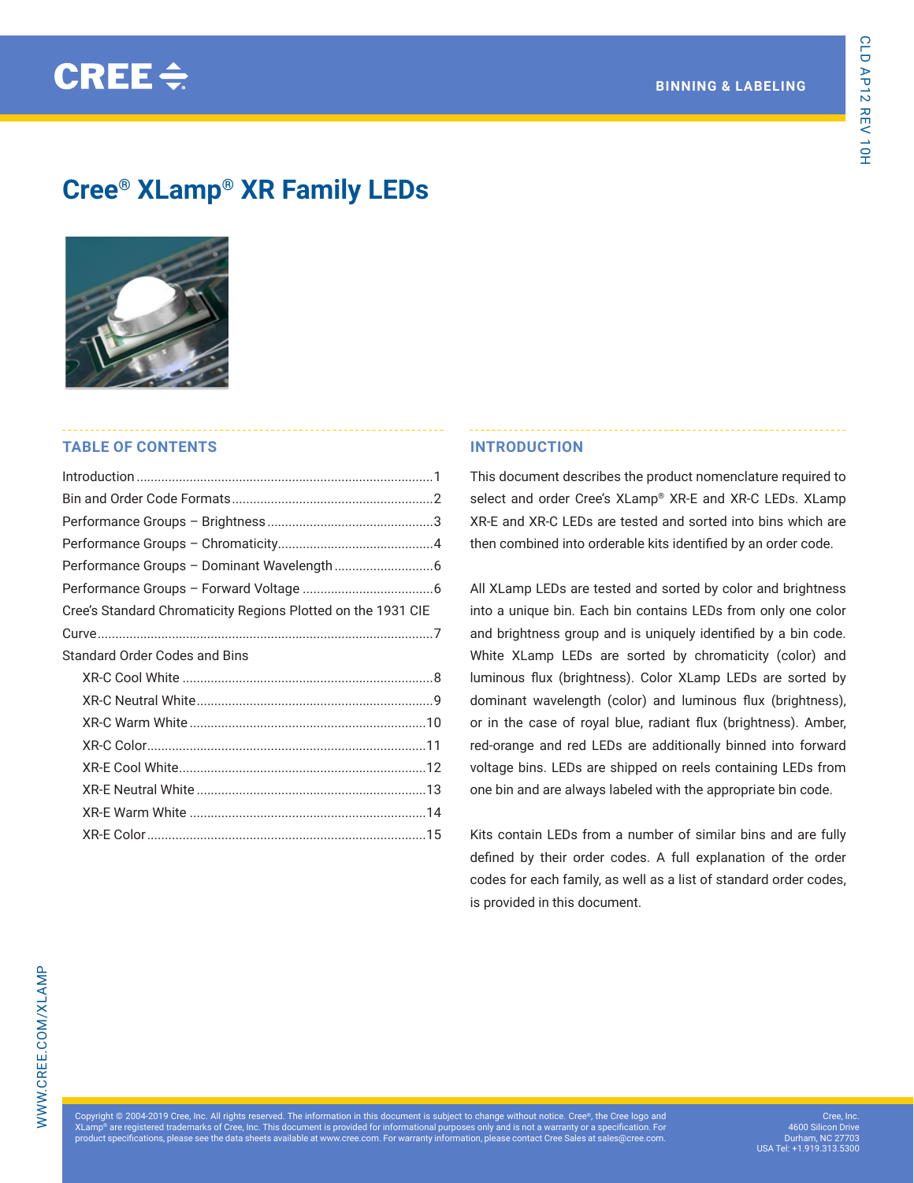# **Cree® XLamp® XR Family LEDs**



# **TABLE OF CONTENTS**

| Cree's Standard Chromaticity Regions Plotted on the 1931 CIE |  |
|--------------------------------------------------------------|--|
|                                                              |  |
| <b>Standard Order Codes and Bins</b>                         |  |
|                                                              |  |
|                                                              |  |
|                                                              |  |
|                                                              |  |
|                                                              |  |
|                                                              |  |
|                                                              |  |
|                                                              |  |
|                                                              |  |

### **INTRODUCTION**

This document describes the product nomenclature required to select and order Cree's XLamp® XR-E and XR-C LEDs. XLamp XR-E and XR-C LEDs are tested and sorted into bins which are then combined into orderable kits identified by an order code.

All XLamp LEDs are tested and sorted by color and brightness into a unique bin. Each bin contains LEDs from only one color and brightness group and is uniquely identified by a bin code. White XLamp LEDs are sorted by chromaticity (color) and luminous flux (brightness). Color XLamp LEDs are sorted by dominant wavelength (color) and luminous flux (brightness), or in the case of royal blue, radiant flux (brightness). Amber, red-orange and red LEDs are additionally binned into forward voltage bins. LEDs are shipped on reels containing LEDs from one bin and are always labeled with the appropriate bin code.

Kits contain LEDs from a number of similar bins and are fully defined by their order codes. A full explanation of the order codes for each family, as well as a list of standard order codes, is provided in this document.

ght © 2004-2019 Cree, Inc. All rights reserved. The information in this document is subject to change without notice. Cree®, the Cree lo XLamp® are registered trademarks of Cree, Inc. This document is provided for informational purposes only and is not a warranty or a specification. For<br>product specifications, please see the data sheets available at www.cre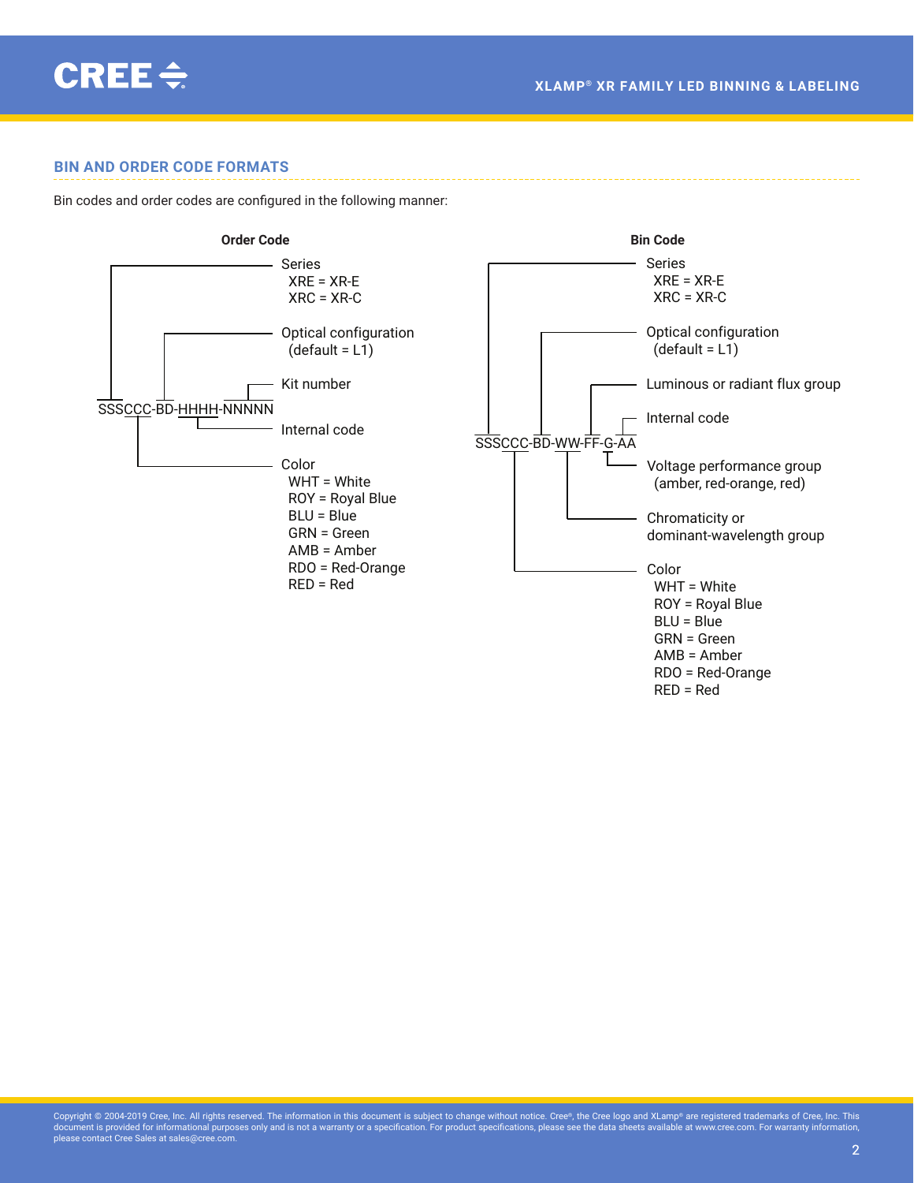<span id="page-1-0"></span>

### **BIN AND ORDER CODE FORMATS**

Bin codes and order codes are configured in the following manner:

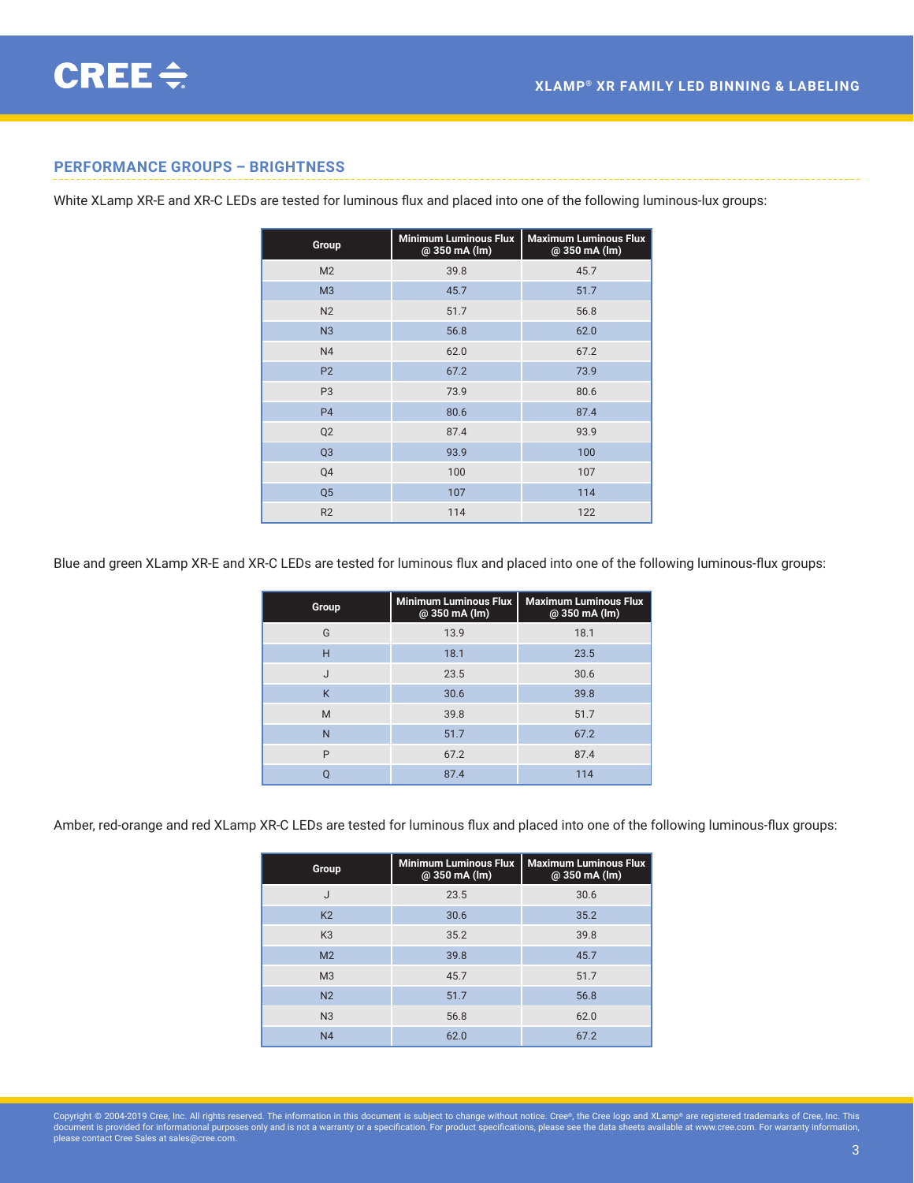### <span id="page-2-0"></span>**PERFORMANCE GROUPS – BRIGHTNESS**

White XLamp XR-E and XR-C LEDs are tested for luminous flux and placed into one of the following luminous-lux groups:

| Group          | <b>Minimum Luminous Flux</b><br>@ 350 mA (lm) | <b>Maximum Luminous Flux</b><br>@ 350 mA (lm) |
|----------------|-----------------------------------------------|-----------------------------------------------|
| M <sub>2</sub> | 39.8                                          | 45.7                                          |
| M <sub>3</sub> | 45.7                                          | 51.7                                          |
| N <sub>2</sub> | 51.7                                          | 56.8                                          |
| N <sub>3</sub> | 56.8                                          | 62.0                                          |
| N <sub>4</sub> | 62.0                                          | 67.2                                          |
| P <sub>2</sub> | 67.2                                          | 73.9                                          |
| P <sub>3</sub> | 73.9                                          | 80.6                                          |
| P <sub>4</sub> | 80.6                                          | 87.4                                          |
| Q <sub>2</sub> | 87.4                                          | 93.9                                          |
| Q <sub>3</sub> | 93.9                                          | 100                                           |
| Q4             | 100                                           | 107                                           |
| Q <sub>5</sub> | 107                                           | 114                                           |
| R2             | 114                                           | 122                                           |

Blue and green XLamp XR-E and XR-C LEDs are tested for luminous flux and placed into one of the following luminous‑flux groups:

| Group | <b>Minimum Luminous Flux</b><br>@ 350 mA (lm) | <b>Maximum Luminous Flux</b><br>@ 350 mA (lm) |
|-------|-----------------------------------------------|-----------------------------------------------|
| G     | 13.9                                          | 18.1                                          |
| H     | 18.1                                          | 23.5                                          |
| J     | 23.5                                          | 30.6                                          |
| K     | 30.6                                          | 39.8                                          |
| M     | 39.8                                          | 51.7                                          |
| N     | 51.7                                          | 67.2                                          |
| P     | 67.2                                          | 87.4                                          |
|       | 87.4                                          | 114                                           |

Amber, red-orange and red XLamp XR-C LEDs are tested for luminous flux and placed into one of the following luminous‑flux groups:

| Group          | <b>Minimum Luminous Flux</b><br>@ 350 mA (lm) | <b>Maximum Luminous Flux</b><br>@ 350 mA (lm) |
|----------------|-----------------------------------------------|-----------------------------------------------|
| J              | 23.5                                          | 30.6                                          |
| K <sub>2</sub> | 30.6                                          | 35.2                                          |
| K <sub>3</sub> | 35.2                                          | 39.8                                          |
| M <sub>2</sub> | 39.8                                          | 45.7                                          |
| M <sub>3</sub> | 45.7                                          | 51.7                                          |
| N <sub>2</sub> | 51.7                                          | 56.8                                          |
| N <sub>3</sub> | 56.8                                          | 62.0                                          |
| N <sub>4</sub> | 62.0                                          | 67.2                                          |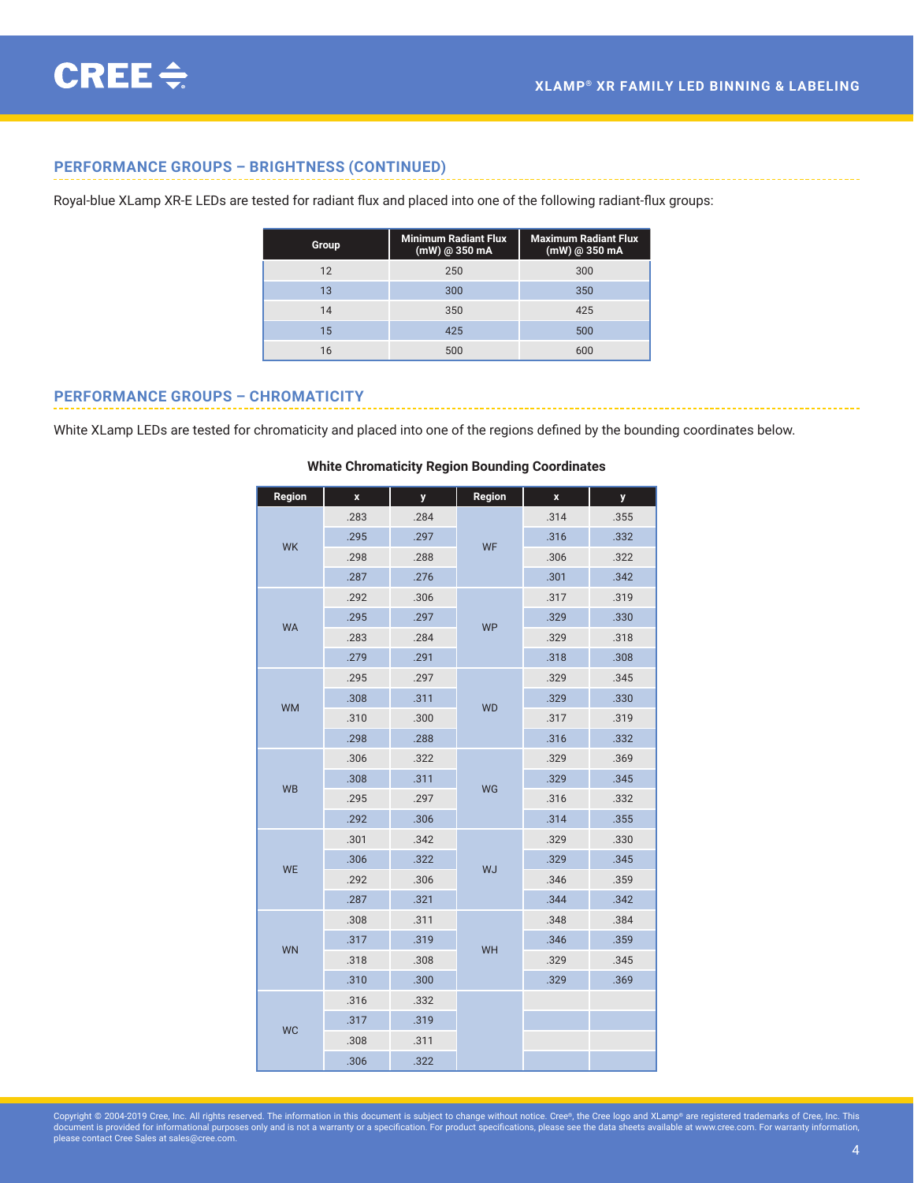### <span id="page-3-0"></span>**PERFORMANCE GROUPS – BRIGHTNESS (CONTINUED)**

Royal-blue XLamp XR-E LEDs are tested for radiant flux and placed into one of the following radiant‑flux groups:

| Group | <b>Minimum Radiant Flux</b><br>$(mW)$ @ 350 mA | <b>Maximum Radiant Flux</b><br>$(mW)$ @ 350 mA |
|-------|------------------------------------------------|------------------------------------------------|
| 12    | 250                                            | 300                                            |
| 13    | 300                                            | 350                                            |
| 14    | 350                                            | 425                                            |
| 15    | 425                                            | 500                                            |
| 16    | 500                                            | 600                                            |

### **PERFORMANCE GROUPS – CHROMATICITY**

White XLamp LEDs are tested for chromaticity and placed into one of the regions defined by the bounding coordinates below.

| Region    | $\pmb{\mathsf{x}}$ | y    | Region    | X    | y    |
|-----------|--------------------|------|-----------|------|------|
|           | .283               | .284 |           | .314 | .355 |
| <b>WK</b> | .295               | .297 | WF        | .316 | .332 |
|           | .298               | .288 |           | .306 | .322 |
|           | .287               | .276 |           | .301 | .342 |
|           | .292               | .306 |           | .317 | .319 |
| <b>WA</b> | .295               | .297 | <b>WP</b> | .329 | .330 |
|           | .283               | .284 |           | .329 | .318 |
|           | .279               | .291 |           | .318 | .308 |
|           | .295               | .297 |           | .329 | .345 |
| <b>WM</b> | .308               | .311 | <b>WD</b> | .329 | .330 |
|           | .310               | .300 |           | .317 | .319 |
|           | .298               | .288 |           | .316 | .332 |
|           | .306               | .322 | WG        | .329 | .369 |
| <b>WB</b> | .308               | .311 |           | .329 | .345 |
|           | .295               | .297 |           | .316 | .332 |
|           | .292               | .306 |           | .314 | .355 |
|           | .301               | .342 |           | .329 | .330 |
| <b>WE</b> | .306               | .322 | <b>WJ</b> | .329 | .345 |
|           | .292               | .306 |           | .346 | .359 |
|           | .287               | .321 |           | .344 | .342 |
|           | .308               | .311 |           | .348 | .384 |
| <b>WN</b> | .317               | .319 | WH        | .346 | .359 |
|           | .318               | .308 |           | .329 | .345 |
|           | .310               | .300 |           | .329 | .369 |
|           | .316               | .332 |           |      |      |
| <b>WC</b> | .317               | .319 |           |      |      |
|           | .308               | .311 |           |      |      |
|           | .306               | .322 |           |      |      |

#### **White Chromaticity Region Bounding Coordinates**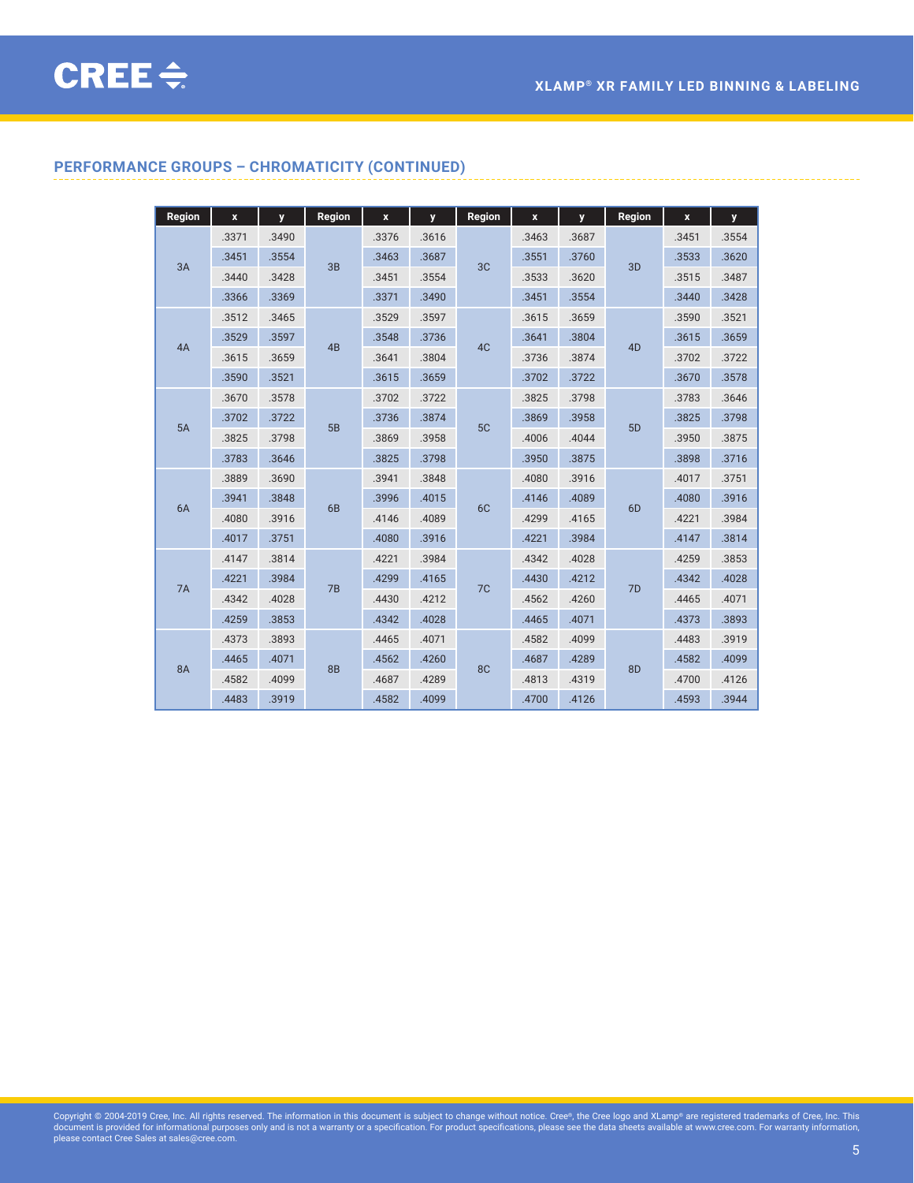# **PERFORMANCE GROUPS – CHROMATICITY (CONTINUED)**

| Region    | $\mathbf x$ | y     | Region    | $\boldsymbol{\mathsf{x}}$ | y     | Region         | $\mathbf x$ | y     | Region         | $\mathbf{x}$ | y     |
|-----------|-------------|-------|-----------|---------------------------|-------|----------------|-------------|-------|----------------|--------------|-------|
|           | .3371       | .3490 |           | .3376                     | .3616 |                | .3463       | .3687 |                | .3451        | .3554 |
| 3A        | .3451       | .3554 | 3B        | .3463                     | .3687 | 3 <sub>C</sub> | .3551       | .3760 | 3D             | .3533        | .3620 |
|           | .3440       | .3428 |           | .3451                     | .3554 |                | .3533       | .3620 |                | .3515        | .3487 |
|           | .3366       | .3369 |           | .3371                     | .3490 |                | .3451       | .3554 |                | .3440        | .3428 |
|           | .3512       | .3465 |           | .3529                     | .3597 |                | .3615       | .3659 |                | .3590        | .3521 |
| 4A        | .3529       | .3597 | 4B        | .3548                     | .3736 | 4C             | .3641       | .3804 | 4 <sub>D</sub> | .3615        | .3659 |
|           | .3615       | .3659 |           | .3641                     | .3804 |                | .3736       | .3874 |                | .3702        | .3722 |
|           | .3590       | .3521 |           | .3615                     | .3659 |                | .3702       | .3722 |                | .3670        | .3578 |
|           | .3670       | .3578 |           | .3702                     | .3722 |                | .3825       | .3798 |                | .3783        | .3646 |
| 5A        | .3702       | .3722 | 5B        | .3736                     | .3874 | 5C             | .3869       | .3958 | 5D             | .3825        | .3798 |
|           | .3825       | .3798 |           | .3869                     | .3958 |                | .4006       | .4044 |                | .3950        | .3875 |
|           | .3783       | .3646 |           | .3825                     | .3798 |                | .3950       | .3875 |                | .3898        | .3716 |
|           | .3889       | .3690 |           | .3941                     | .3848 |                | .4080       | .3916 |                | .4017        | .3751 |
| 6A        | .3941       | .3848 | 6B        | .3996                     | .4015 | 6C             | .4146       | .4089 | 6D             | .4080        | .3916 |
|           | .4080       | .3916 |           | .4146                     | .4089 |                | .4299       | .4165 |                | .4221        | .3984 |
|           | .4017       | .3751 |           | .4080                     | .3916 |                | .4221       | .3984 |                | .4147        | .3814 |
|           | .4147       | .3814 |           | .4221                     | .3984 |                | .4342       | .4028 |                | .4259        | .3853 |
| 7A        | .4221       | .3984 | 7B        | .4299                     | .4165 | 7 <sup>C</sup> | .4430       | .4212 | 7D             | .4342        | .4028 |
|           | .4342       | .4028 |           | .4430                     | .4212 |                | .4562       | .4260 |                | .4465        | .4071 |
|           | .4259       | .3853 |           | .4342                     | .4028 |                | .4465       | .4071 |                | .4373        | .3893 |
|           | .4373       | .3893 |           | .4465                     | .4071 |                | .4582       | .4099 |                | .4483        | .3919 |
| <b>8A</b> | .4465       | .4071 | <b>8B</b> | .4562                     | .4260 | 8C             | .4687       | .4289 | 8D             | .4582        | .4099 |
|           | .4582       | .4099 |           | .4687                     | .4289 |                | .4813       | .4319 |                | .4700        | .4126 |
|           | .4483       | .3919 |           | .4582                     | .4099 |                | .4700       | .4126 |                | .4593        | .3944 |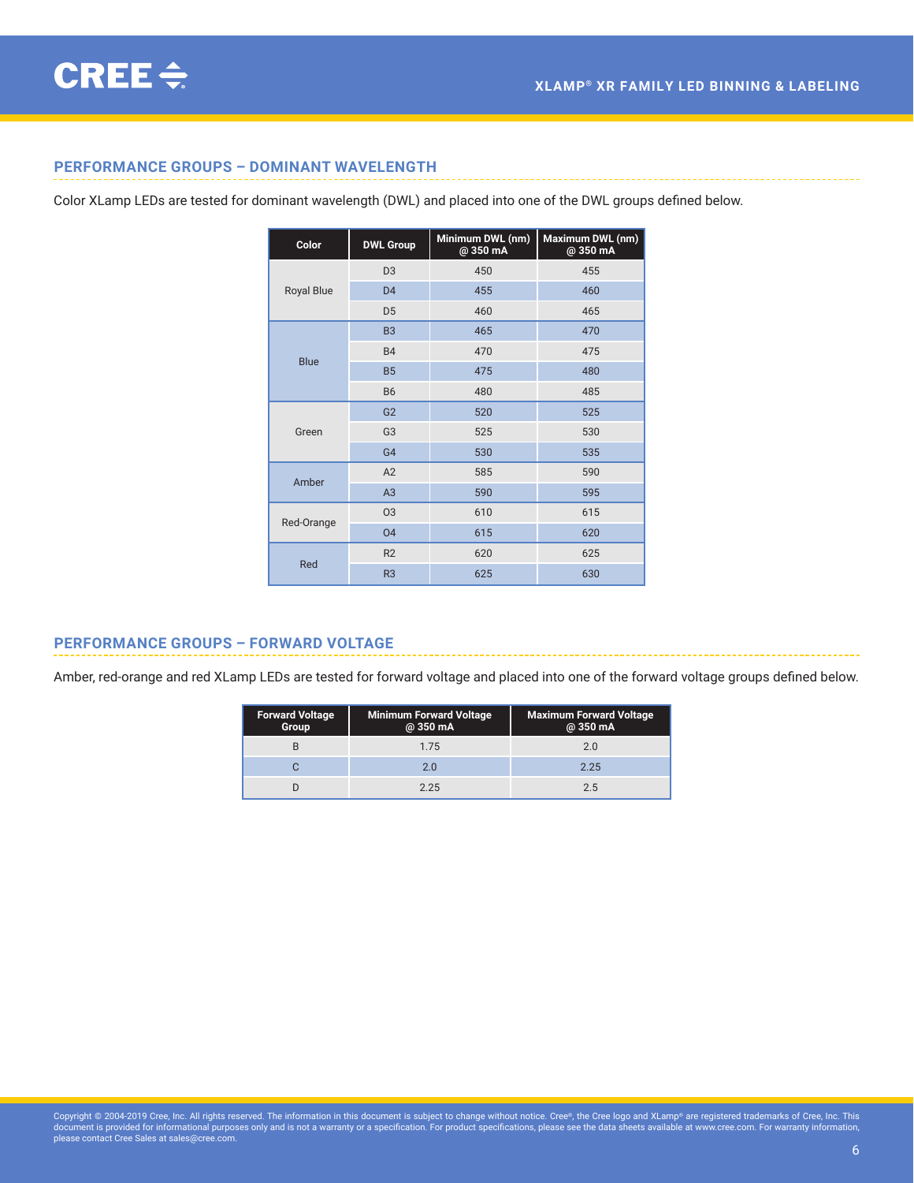# <span id="page-5-0"></span>**PERFORMANCE GROUPS – DOMINANT WAVELENGTH**

Color XLamp LEDs are tested for dominant wavelength (DWL) and placed into one of the DWL groups defined below.

| Color             | <b>DWL Group</b> | Minimum DWL (nm)<br>@350 mA | Maximum DWL (nm)<br>@350 mA |
|-------------------|------------------|-----------------------------|-----------------------------|
|                   | D <sub>3</sub>   | 450                         | 455                         |
| <b>Royal Blue</b> | D <sub>4</sub>   | 455                         | 460                         |
|                   | D <sub>5</sub>   | 460                         | 465                         |
|                   | B <sub>3</sub>   | 465                         | 470                         |
| <b>Blue</b>       | <b>B4</b>        | 470                         | 475                         |
|                   | <b>B5</b>        | 475                         | 480                         |
|                   | <b>B6</b>        | 480                         | 485                         |
|                   | G <sub>2</sub>   | 520                         | 525                         |
| Green             | G <sub>3</sub>   | 525                         | 530                         |
|                   | G <sub>4</sub>   | 530                         | 535                         |
| Amber             | A2               | 585                         | 590                         |
|                   | A3               | 590                         | 595                         |
| Red-Orange        | 03               | 610                         | 615                         |
|                   | 04               | 615                         | 620                         |
|                   | R2               | 620                         | 625                         |
| Red               | R <sub>3</sub>   | 625                         | 630                         |

### **PERFORMANCE GROUPS – FORWARD VOLTAGE**

Amber, red-orange and red XLamp LEDs are tested for forward voltage and placed into one of the forward voltage groups defined below.

| <b>Forward Voltage</b><br>Group | <b>Minimum Forward Voltage</b><br>@ 350 mA | <b>Maximum Forward Voltage</b><br>@ 350 mA |
|---------------------------------|--------------------------------------------|--------------------------------------------|
|                                 | 1.75                                       | 2.0                                        |
|                                 | 2 O                                        | 2.25                                       |
|                                 | 2.25                                       | 2.5                                        |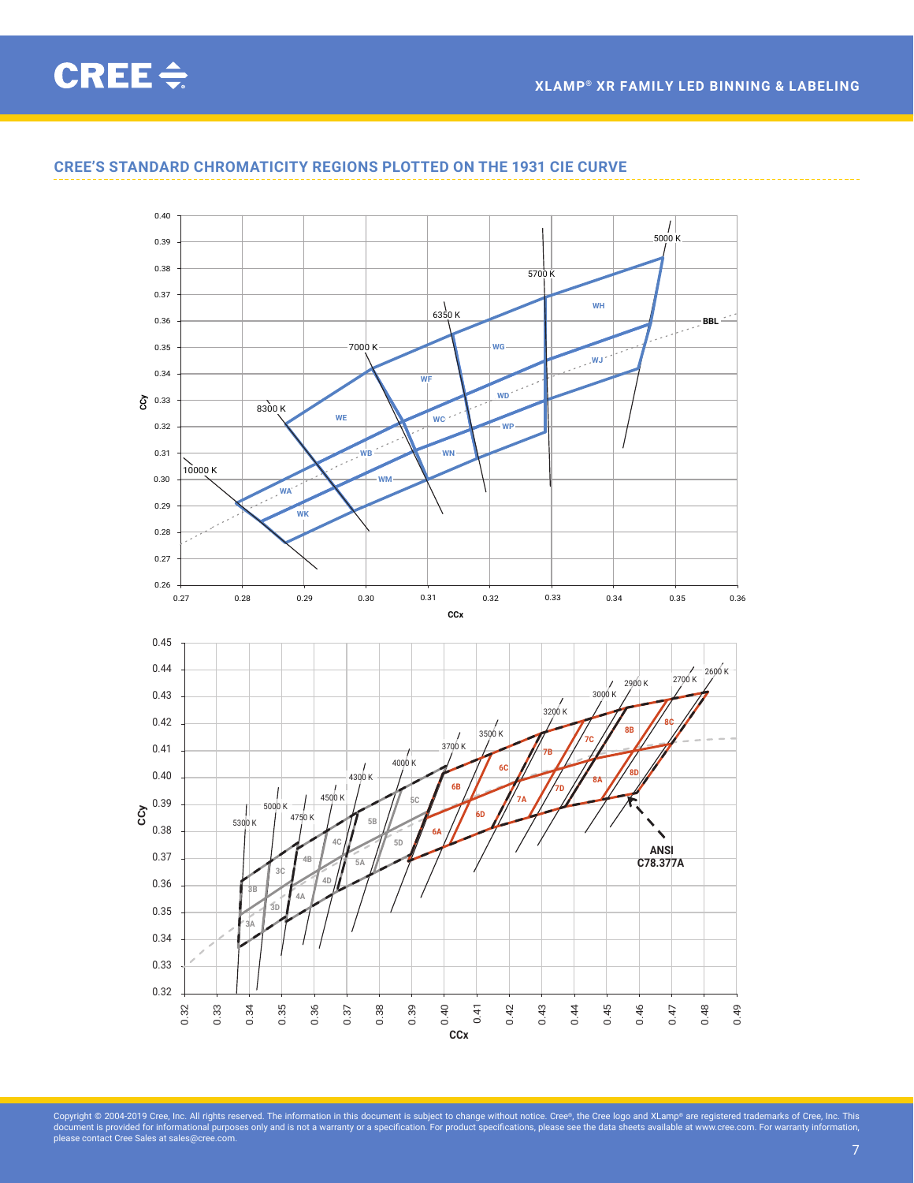**XLAMP® XR FAMILY LED BINNING & LABELING**

# <span id="page-6-0"></span>CREE $\div$



### **CREE'S STANDARD CHROMATICITY REGIONS PLOTTED ON THE 1931 CIE CURVE**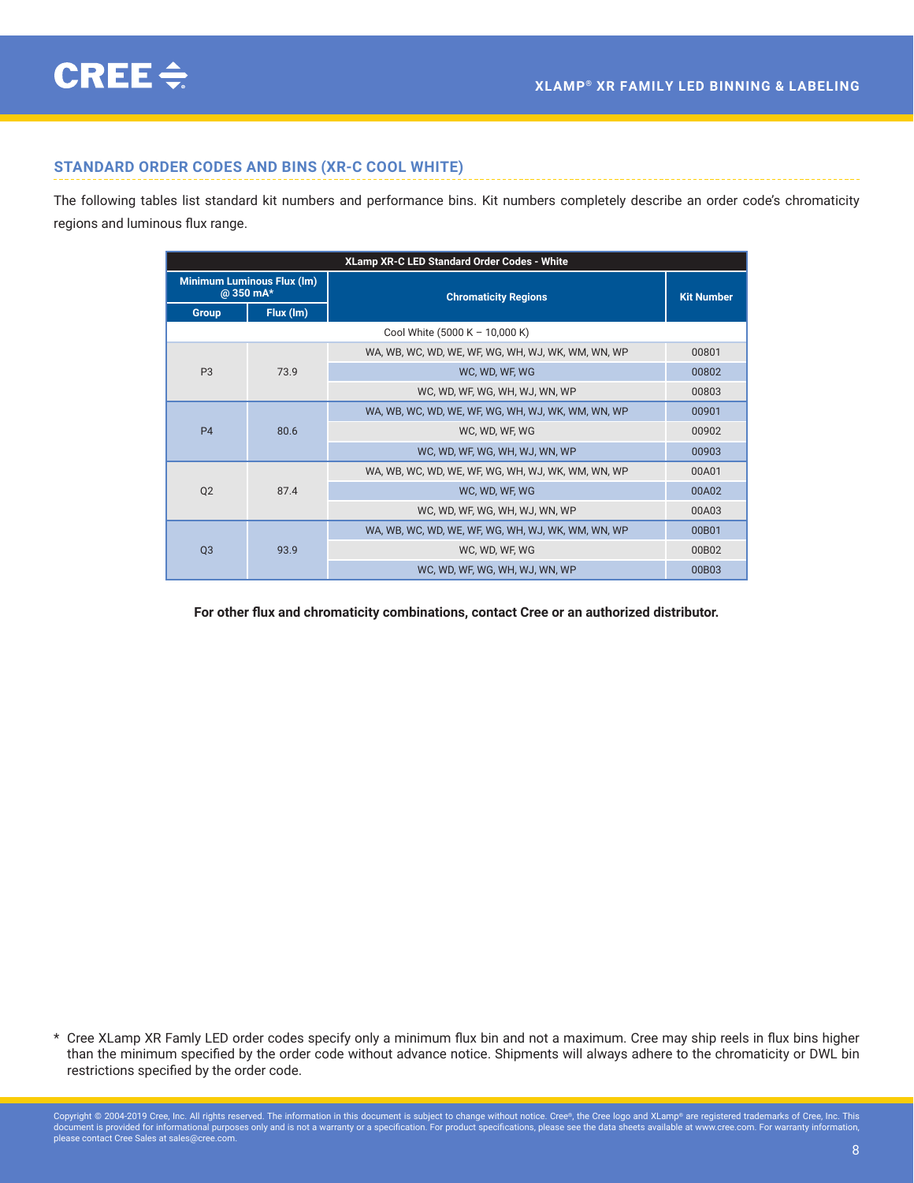### <span id="page-7-0"></span>**STANDARD ORDER CODES AND BINS (XR-C COOL WHITE)**

The following tables list standard kit numbers and performance bins. Kit numbers completely describe an order code's chromaticity regions and luminous flux range.

| XLamp XR-C LED Standard Order Codes - White    |           |                                                    |                   |       |
|------------------------------------------------|-----------|----------------------------------------------------|-------------------|-------|
| <b>Minimum Luminous Flux (Im)</b><br>@ 350 mA* |           | <b>Chromaticity Regions</b>                        | <b>Kit Number</b> |       |
| Group                                          | Flux (Im) |                                                    |                   |       |
|                                                |           | Cool White (5000 K - 10,000 K)                     |                   |       |
|                                                |           | WA, WB, WC, WD, WE, WF, WG, WH, WJ, WK, WM, WN, WP | 00801             |       |
| P <sub>3</sub>                                 | 73.9      | WC. WD. WF. WG                                     | 00802             |       |
|                                                |           | WC, WD, WF, WG, WH, WJ, WN, WP                     | 00803             |       |
|                                                |           | WA, WB, WC, WD, WE, WF, WG, WH, WJ, WK, WM, WN, WP | 00901             |       |
| <b>P4</b>                                      | 80.6      |                                                    | WC, WD, WF, WG    | 00902 |
|                                                |           | WC, WD, WF, WG, WH, WJ, WN, WP                     | 00903             |       |
|                                                |           | WA, WB, WC, WD, WE, WF, WG, WH, WJ, WK, WM, WN, WP | 00A01             |       |
| Q <sub>2</sub>                                 | 87.4      | WC, WD, WF, WG                                     | 00A02             |       |
|                                                |           | WC, WD, WF, WG, WH, WJ, WN, WP                     | 00A03             |       |
|                                                |           | WA, WB, WC, WD, WE, WF, WG, WH, WJ, WK, WM, WN, WP | 00B01             |       |
| Q <sub>3</sub>                                 | 93.9      | WC. WD. WF. WG                                     | 00B02             |       |
|                                                |           | WC. WD. WF. WG. WH. WJ. WN. WP                     | 00B03             |       |

**For other flux and chromaticity combinations, contact Cree or an authorized distributor.**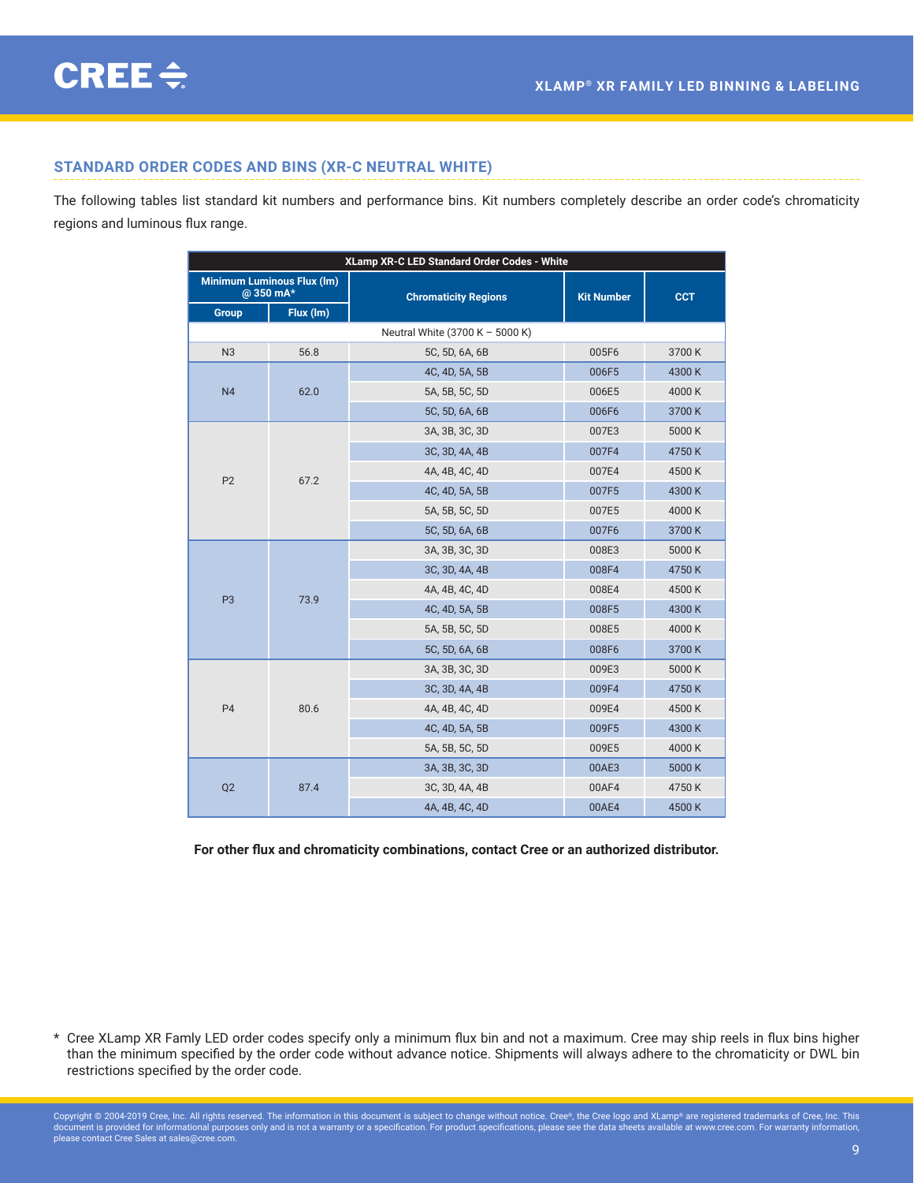# <span id="page-8-0"></span>**STANDARD ORDER CODES AND BINS (XR-C NEUTRAL WHITE)**

The following tables list standard kit numbers and performance bins. Kit numbers completely describe an order code's chromaticity regions and luminous flux range.

| XLamp XR-C LED Standard Order Codes - White |                                               |                                 |                   |            |  |
|---------------------------------------------|-----------------------------------------------|---------------------------------|-------------------|------------|--|
|                                             | <b>Minimum Luminous Flux (Im)</b><br>@350 mA* | <b>Chromaticity Regions</b>     | <b>Kit Number</b> | <b>CCT</b> |  |
| <b>Group</b>                                | Flux (lm)                                     |                                 |                   |            |  |
|                                             |                                               | Neutral White (3700 K - 5000 K) |                   |            |  |
| N <sub>3</sub>                              | 56.8                                          | 5C, 5D, 6A, 6B                  | 005F6             | 3700K      |  |
|                                             |                                               | 4C, 4D, 5A, 5B                  | 006F5             | 4300K      |  |
| N <sub>4</sub>                              | 62.0                                          | 5A, 5B, 5C, 5D                  | 006E5             | 4000K      |  |
|                                             |                                               | 5C, 5D, 6A, 6B                  | 006F6             | 3700K      |  |
|                                             |                                               | 3A, 3B, 3C, 3D                  | 007E3             | 5000 K     |  |
|                                             |                                               | 3C, 3D, 4A, 4B                  | 007F4             | 4750K      |  |
| P <sub>2</sub>                              | 67.2                                          | 4A, 4B, 4C, 4D                  | 007E4             | 4500K      |  |
|                                             |                                               | 4C, 4D, 5A, 5B                  | 007F5             | 4300K      |  |
|                                             |                                               | 5A, 5B, 5C, 5D                  | 007E5             | 4000K      |  |
|                                             |                                               | 5C, 5D, 6A, 6B                  | 007F6             | 3700K      |  |
|                                             | 73.9                                          | 3A, 3B, 3C, 3D                  | 008E3             | 5000 K     |  |
|                                             |                                               | 3C, 3D, 4A, 4B                  | 008F4             | 4750K      |  |
| P <sub>3</sub>                              |                                               | 4A, 4B, 4C, 4D                  | 008E4             | 4500K      |  |
|                                             |                                               | 4C, 4D, 5A, 5B                  | 008F5             | 4300K      |  |
|                                             |                                               | 5A, 5B, 5C, 5D                  | 008E5             | 4000K      |  |
|                                             |                                               | 5C, 5D, 6A, 6B                  | 008F6             | 3700K      |  |
|                                             |                                               | 3A, 3B, 3C, 3D                  | 009E3             | 5000 K     |  |
|                                             |                                               | 3C, 3D, 4A, 4B                  | 009F4             | 4750K      |  |
| P <sub>4</sub>                              | 80.6                                          | 4A, 4B, 4C, 4D                  | 009E4             | 4500K      |  |
|                                             |                                               | 4C, 4D, 5A, 5B                  | 009F5             | 4300K      |  |
|                                             |                                               | 5A, 5B, 5C, 5D                  | 009E5             | 4000K      |  |
|                                             |                                               | 3A, 3B, 3C, 3D                  | 00AE3             | 5000 K     |  |
| Q2                                          | 87.4                                          | 3C, 3D, 4A, 4B                  | 00AF4             | 4750K      |  |
|                                             |                                               | 4A, 4B, 4C, 4D                  | 00AE4             | 4500K      |  |

**For other flux and chromaticity combinations, contact Cree or an authorized distributor.**

<sup>\*</sup> Cree XLamp XR Famly LED order codes specify only a minimum flux bin and not a maximum. Cree may ship reels in flux bins higher than the minimum specified by the order code without advance notice. Shipments will always adhere to the chromaticity or DWL bin restrictions specified by the order code.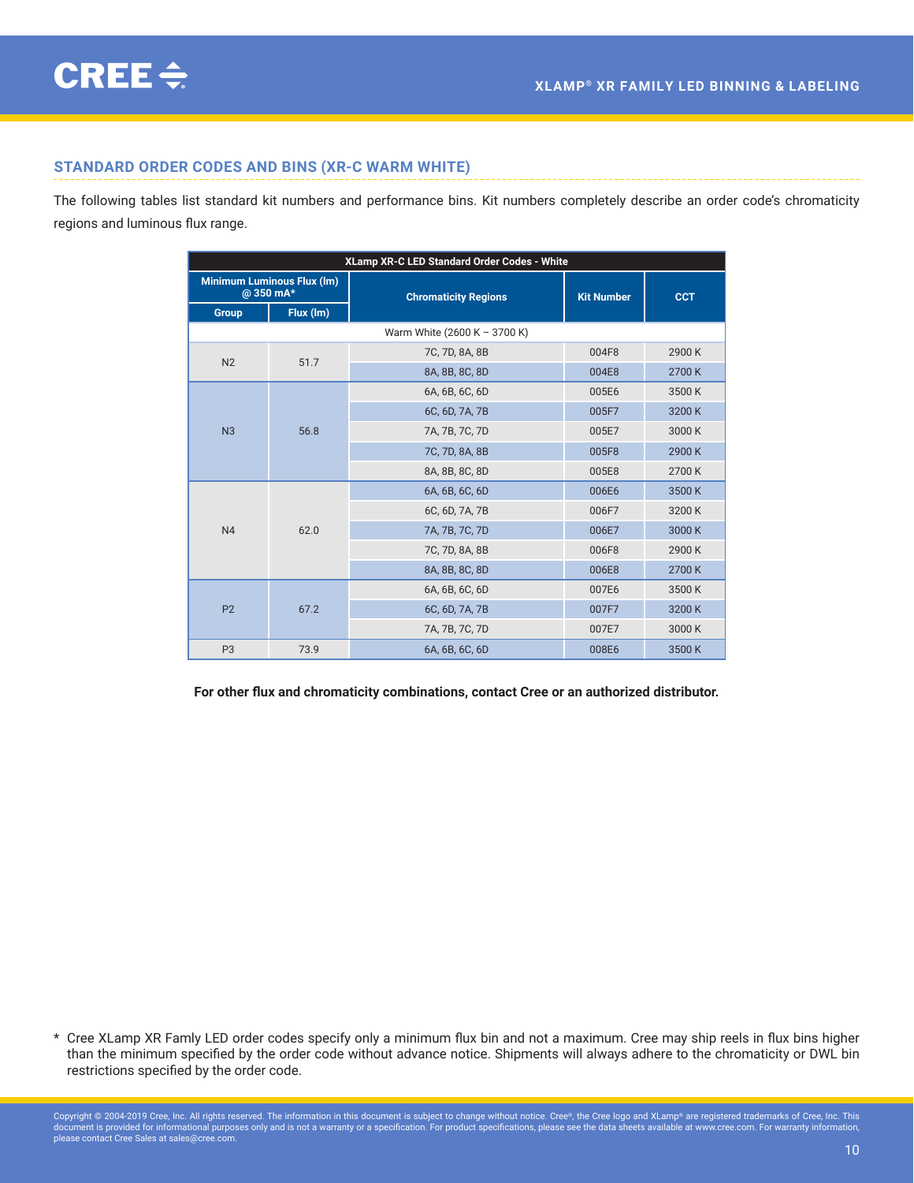# <span id="page-9-0"></span>**STANDARD ORDER CODES AND BINS (XR-C WARM WHITE)**

The following tables list standard kit numbers and performance bins. Kit numbers completely describe an order code's chromaticity regions and luminous flux range.

| XLamp XR-C LED Standard Order Codes - White    |           |                              |                   |            |  |
|------------------------------------------------|-----------|------------------------------|-------------------|------------|--|
| <b>Minimum Luminous Flux (Im)</b><br>@ 350 mA* |           | <b>Chromaticity Regions</b>  | <b>Kit Number</b> | <b>CCT</b> |  |
| Group                                          | Flux (Im) |                              |                   |            |  |
|                                                |           | Warm White (2600 K - 3700 K) |                   |            |  |
| N <sub>2</sub>                                 | 51.7      | 7C, 7D, 8A, 8B               | 004F8             | 2900K      |  |
|                                                |           | 8A, 8B, 8C, 8D               | 004E8             | 2700K      |  |
|                                                |           | 6A, 6B, 6C, 6D               | 005E6             | 3500K      |  |
|                                                |           | 6C, 6D, 7A, 7B               | 005F7             | 3200K      |  |
| N <sub>3</sub>                                 | 56.8      | 7A, 7B, 7C, 7D               | 005E7             | 3000K      |  |
|                                                |           | 7C, 7D, 8A, 8B               | 005F8             | 2900K      |  |
|                                                |           | 8A, 8B, 8C, 8D               | 005E8             | 2700K      |  |
|                                                |           | 6A, 6B, 6C, 6D               | 006E6             | 3500K      |  |
|                                                |           | 6C, 6D, 7A, 7B               | 006F7             | 3200K      |  |
| N <sub>4</sub>                                 | 62.0      | 7A, 7B, 7C, 7D               | 006E7             | 3000K      |  |
|                                                |           | 7C, 7D, 8A, 8B               | 006F8             | 2900K      |  |
|                                                |           | 8A, 8B, 8C, 8D               | 006E8             | 2700K      |  |
|                                                |           | 6A, 6B, 6C, 6D               | 007E6             | 3500K      |  |
| P <sub>2</sub>                                 | 67.2      | 6C, 6D, 7A, 7B               | 007F7             | 3200K      |  |
|                                                |           | 7A, 7B, 7C, 7D               | 007E7             | 3000K      |  |
| P <sub>3</sub>                                 | 73.9      | 6A, 6B, 6C, 6D               | 008E6             | 3500K      |  |

**For other flux and chromaticity combinations, contact Cree or an authorized distributor.**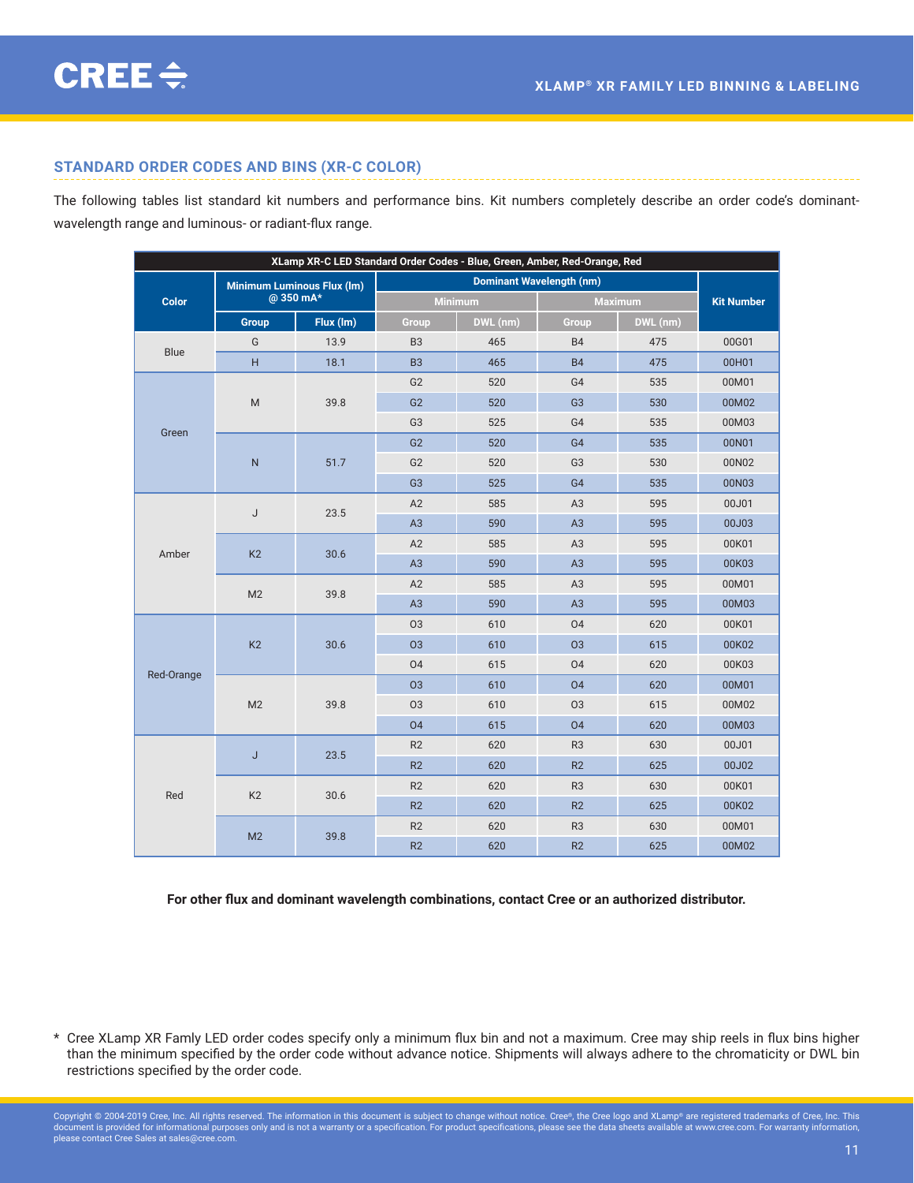### <span id="page-10-0"></span>**STANDARD ORDER CODES AND BINS (XR-C COLOR)**

The following tables list standard kit numbers and performance bins. Kit numbers completely describe an order code's dominantwavelength range and luminous- or radiant-flux range.

| XLamp XR-C LED Standard Order Codes - Blue, Green, Amber, Red-Orange, Red |                                                |           |                                 |          |                |          |                   |
|---------------------------------------------------------------------------|------------------------------------------------|-----------|---------------------------------|----------|----------------|----------|-------------------|
|                                                                           | <b>Minimum Luminous Flux (Im)</b><br>@ 350 mA* |           | <b>Dominant Wavelength (nm)</b> |          |                |          |                   |
| <b>Color</b>                                                              |                                                |           | <b>Minimum</b>                  |          | <b>Maximum</b> |          | <b>Kit Number</b> |
|                                                                           | <b>Group</b>                                   | Flux (Im) | Group                           | DWL (nm) | Group          | DWL (nm) |                   |
| <b>Blue</b>                                                               | G                                              | 13.9      | B <sub>3</sub>                  | 465      | <b>B4</b>      | 475      | 00G01             |
|                                                                           | H                                              | 18.1      | <b>B3</b>                       | 465      | <b>B4</b>      | 475      | 00H01             |
|                                                                           |                                                |           | G <sub>2</sub>                  | 520      | G4             | 535      | 00M01             |
|                                                                           | ${\sf M}$                                      | 39.8      | G <sub>2</sub>                  | 520      | G <sub>3</sub> | 530      | 00M02             |
|                                                                           |                                                |           | G <sub>3</sub>                  | 525      | G4             | 535      | 00M03             |
| Green                                                                     |                                                |           | G <sub>2</sub>                  | 520      | G4             | 535      | 00N01             |
|                                                                           | $\mathsf{N}$                                   | 51.7      | G <sub>2</sub>                  | 520      | G <sub>3</sub> | 530      | 00N02             |
|                                                                           |                                                |           | G <sub>3</sub>                  | 525      | G4             | 535      | 00N03             |
|                                                                           | J                                              | 23.5      | A2                              | 585      | A <sub>3</sub> | 595      | 00J01             |
|                                                                           |                                                |           | A3                              | 590      | A3             | 595      | 00J03             |
| Amber                                                                     | K <sub>2</sub>                                 | 30.6      | A2                              | 585      | A3             | 595      | 00K01             |
|                                                                           |                                                |           | A <sub>3</sub>                  | 590      | A3             | 595      | 00K03             |
|                                                                           | M <sub>2</sub>                                 | 39.8      | A2                              | 585      | A <sub>3</sub> | 595      | 00M01             |
|                                                                           |                                                |           | A3                              | 590      | A3             | 595      | 00M03             |
|                                                                           | K <sub>2</sub>                                 | 30.6      | <b>O3</b>                       | 610      | 04             | 620      | 00K01             |
|                                                                           |                                                |           | <b>O3</b>                       | 610      | <b>O3</b>      | 615      | 00K02             |
| Red-Orange                                                                |                                                |           | 04                              | 615      | 04             | 620      | 00K03             |
|                                                                           | M <sub>2</sub>                                 | 39.8      | 03                              | 610      | 04             | 620      | 00M01             |
|                                                                           |                                                |           | 03                              | 610      | 03             | 615      | 00M02             |
|                                                                           |                                                |           | 04                              | 615      | 04             | 620      | 00M03             |
|                                                                           | J                                              | 23.5      | R2                              | 620      | R <sub>3</sub> | 630      | 00J01             |
|                                                                           |                                                |           | R2                              | 620      | R2             | 625      | 00J02             |
|                                                                           | K <sub>2</sub>                                 | 30.6      | R <sub>2</sub>                  | 620      | R <sub>3</sub> | 630      | 00K01             |
| Red                                                                       |                                                |           | R2                              | 620      | R2             | 625      | 00K02             |
|                                                                           | M <sub>2</sub>                                 | 39.8      | R2                              | 620      | R <sub>3</sub> | 630      | 00M01             |
|                                                                           |                                                |           | R2                              | 620      | R2             | 625      | 00M02             |

**For other flux and dominant wavelength combinations, contact Cree or an authorized distributor.**

<sup>\*</sup> Cree XLamp XR Famly LED order codes specify only a minimum flux bin and not a maximum. Cree may ship reels in flux bins higher than the minimum specified by the order code without advance notice. Shipments will always adhere to the chromaticity or DWL bin restrictions specified by the order code.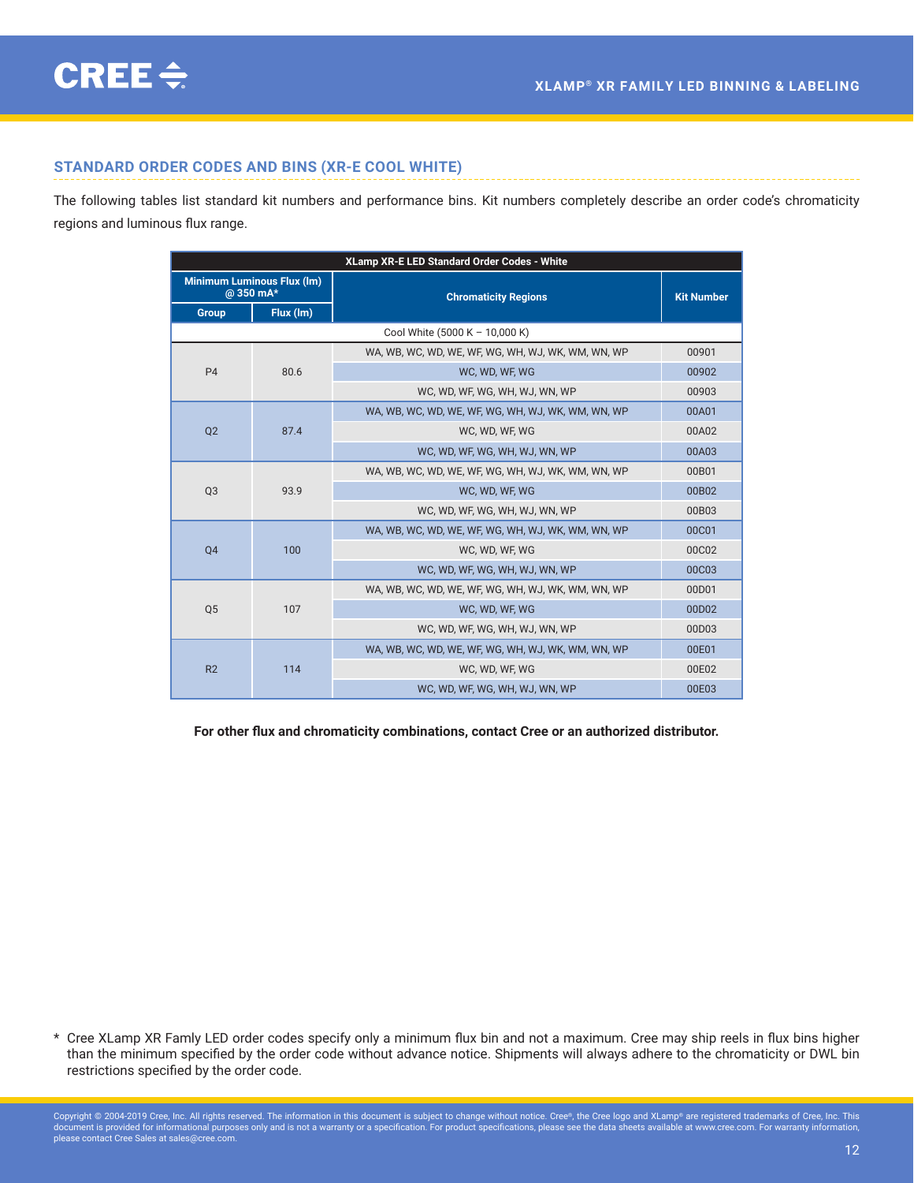### <span id="page-11-0"></span>**STANDARD ORDER CODES AND BINS (XR-E COOL WHITE)**

The following tables list standard kit numbers and performance bins. Kit numbers completely describe an order code's chromaticity regions and luminous flux range.

| XLamp XR-E LED Standard Order Codes - White    |           |                                                    |                   |  |  |  |
|------------------------------------------------|-----------|----------------------------------------------------|-------------------|--|--|--|
| <b>Minimum Luminous Flux (Im)</b><br>@ 350 mA* |           | <b>Chromaticity Regions</b>                        | <b>Kit Number</b> |  |  |  |
| <b>Group</b>                                   | Flux (Im) |                                                    |                   |  |  |  |
|                                                |           | Cool White (5000 K - 10,000 K)                     |                   |  |  |  |
|                                                |           | WA, WB, WC, WD, WE, WF, WG, WH, WJ, WK, WM, WN, WP | 00901             |  |  |  |
| P <sub>4</sub>                                 | 80.6      | WC. WD. WF. WG                                     | 00902             |  |  |  |
|                                                |           | WC, WD, WF, WG, WH, WJ, WN, WP                     | 00903             |  |  |  |
|                                                | 87.4      | WA, WB, WC, WD, WE, WF, WG, WH, WJ, WK, WM, WN, WP | 00A01             |  |  |  |
| Q <sub>2</sub>                                 |           | WC, WD, WF, WG                                     | 00A02             |  |  |  |
|                                                |           | WC. WD. WF. WG. WH. WJ. WN. WP                     | 00A03             |  |  |  |
|                                                | 93.9      | WA, WB, WC, WD, WE, WF, WG, WH, WJ, WK, WM, WN, WP | 00B01             |  |  |  |
| Q <sub>3</sub>                                 |           | WC. WD. WF. WG                                     | 00B02             |  |  |  |
|                                                |           | WC, WD, WF, WG, WH, WJ, WN, WP                     | 00B03             |  |  |  |
|                                                | 100       | WA, WB, WC, WD, WE, WF, WG, WH, WJ, WK, WM, WN, WP | 00C01             |  |  |  |
| Q <sub>4</sub>                                 |           | WC. WD. WF. WG                                     | 00C02             |  |  |  |
|                                                |           | WC, WD, WF, WG, WH, WJ, WN, WP                     | 00C03             |  |  |  |
|                                                | 107       | WA, WB, WC, WD, WE, WF, WG, WH, WJ, WK, WM, WN, WP | 00D01             |  |  |  |
| Q <sub>5</sub>                                 |           | WC, WD, WF, WG                                     | 00D02             |  |  |  |
|                                                |           | WC, WD, WF, WG, WH, WJ, WN, WP                     | 00D03             |  |  |  |
|                                                |           | WA, WB, WC, WD, WE, WF, WG, WH, WJ, WK, WM, WN, WP | 00E01             |  |  |  |
| R <sub>2</sub>                                 | 114       | WC. WD. WF. WG                                     | 00E02             |  |  |  |
|                                                |           | WC, WD, WF, WG, WH, WJ, WN, WP                     | 00E03             |  |  |  |

**For other flux and chromaticity combinations, contact Cree or an authorized distributor.**

<sup>\*</sup> Cree XLamp XR Famly LED order codes specify only a minimum flux bin and not a maximum. Cree may ship reels in flux bins higher than the minimum specified by the order code without advance notice. Shipments will always adhere to the chromaticity or DWL bin restrictions specified by the order code.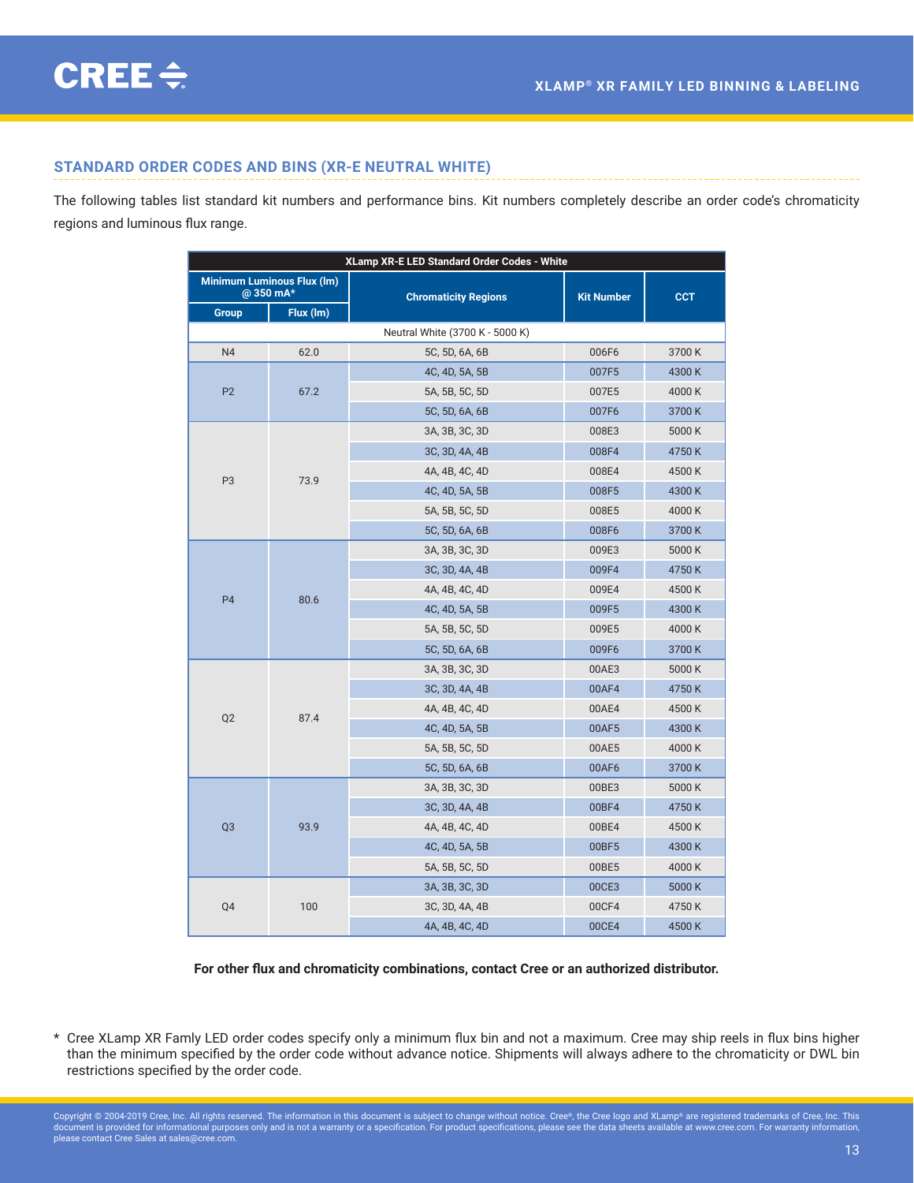# <span id="page-12-0"></span>**STANDARD ORDER CODES AND BINS (XR-E NEUTRAL WHITE)**

The following tables list standard kit numbers and performance bins. Kit numbers completely describe an order code's chromaticity regions and luminous flux range.

| XLamp XR-E LED Standard Order Codes - White                 |      |                                  |                   |            |  |  |  |  |
|-------------------------------------------------------------|------|----------------------------------|-------------------|------------|--|--|--|--|
| <b>Minimum Luminous Flux (Im)</b><br>@ 350 mA*<br>Flux (lm) |      | <b>Chromaticity Regions</b>      | <b>Kit Number</b> | <b>CCT</b> |  |  |  |  |
| <b>Group</b><br>Neutral White (3700 K - 5000 K)             |      |                                  |                   |            |  |  |  |  |
| N <sub>4</sub>                                              |      | 5C, 5D, 6A, 6B                   | 006F6             | 3700K      |  |  |  |  |
|                                                             | 62.0 | 4C, 4D, 5A, 5B                   | 007F5             | 4300K      |  |  |  |  |
| P <sub>2</sub>                                              |      | 5A, 5B, 5C, 5D                   | 007E5             | 4000K      |  |  |  |  |
|                                                             | 67.2 | 5C, 5D, 6A, 6B                   | 007F6             | 3700K      |  |  |  |  |
|                                                             |      | 3A, 3B, 3C, 3D                   | 008E3             | 5000 K     |  |  |  |  |
|                                                             |      |                                  |                   |            |  |  |  |  |
|                                                             |      | 3C, 3D, 4A, 4B<br>4A, 4B, 4C, 4D | 008F4             | 4750K      |  |  |  |  |
| P <sub>3</sub>                                              | 73.9 |                                  | 008E4             | 4500K      |  |  |  |  |
|                                                             |      | 4C, 4D, 5A, 5B                   | 008F5             | 4300K      |  |  |  |  |
|                                                             |      | 5A, 5B, 5C, 5D                   | 008E5             | 4000K      |  |  |  |  |
|                                                             |      | 5C, 5D, 6A, 6B                   | 008F6             | 3700K      |  |  |  |  |
|                                                             |      | 3A, 3B, 3C, 3D                   | 009E3             | 5000 K     |  |  |  |  |
|                                                             | 80.6 | 3C, 3D, 4A, 4B                   | 009F4             | 4750K      |  |  |  |  |
| P <sub>4</sub>                                              |      | 4A, 4B, 4C, 4D                   | 009E4             | 4500K      |  |  |  |  |
|                                                             |      | 4C, 4D, 5A, 5B                   | 009F5             | 4300K      |  |  |  |  |
|                                                             |      | 5A, 5B, 5C, 5D                   | 009E5             | 4000K      |  |  |  |  |
|                                                             |      | 5C, 5D, 6A, 6B                   | 009F6             | 3700K      |  |  |  |  |
|                                                             | 87.4 | 3A, 3B, 3C, 3D                   | 00AE3             | 5000K      |  |  |  |  |
|                                                             |      | 3C, 3D, 4A, 4B                   | 00AF4             | 4750K      |  |  |  |  |
| Q <sub>2</sub>                                              |      | 4A, 4B, 4C, 4D                   | 00AE4             | 4500K      |  |  |  |  |
|                                                             |      | 4C, 4D, 5A, 5B                   | <b>00AF5</b>      | 4300K      |  |  |  |  |
|                                                             |      | 5A, 5B, 5C, 5D                   | 00AE5             | 4000K      |  |  |  |  |
|                                                             |      | 5C, 5D, 6A, 6B                   | 00AF6             | 3700K      |  |  |  |  |
|                                                             |      | 3A, 3B, 3C, 3D                   | 00BE3             | 5000 K     |  |  |  |  |
|                                                             | 93.9 | 3C, 3D, 4A, 4B                   | 00BF4             | 4750K      |  |  |  |  |
| Q <sub>3</sub>                                              |      | 4A, 4B, 4C, 4D                   | 00BE4             | 4500K      |  |  |  |  |
|                                                             |      | 4C, 4D, 5A, 5B                   | 00BF5             | 4300K      |  |  |  |  |
|                                                             |      | 5A, 5B, 5C, 5D                   | 00BE5             | 4000K      |  |  |  |  |
|                                                             |      | 3A, 3B, 3C, 3D                   | 00CE3             | 5000 K     |  |  |  |  |
| Q4                                                          | 100  | 3C, 3D, 4A, 4B                   | 00CF4             | 4750K      |  |  |  |  |
|                                                             |      | 4A, 4B, 4C, 4D                   | 00CE4             | 4500K      |  |  |  |  |

**For other flux and chromaticity combinations, contact Cree or an authorized distributor.**

<sup>\*</sup> Cree XLamp XR Famly LED order codes specify only a minimum flux bin and not a maximum. Cree may ship reels in flux bins higher than the minimum specified by the order code without advance notice. Shipments will always adhere to the chromaticity or DWL bin restrictions specified by the order code.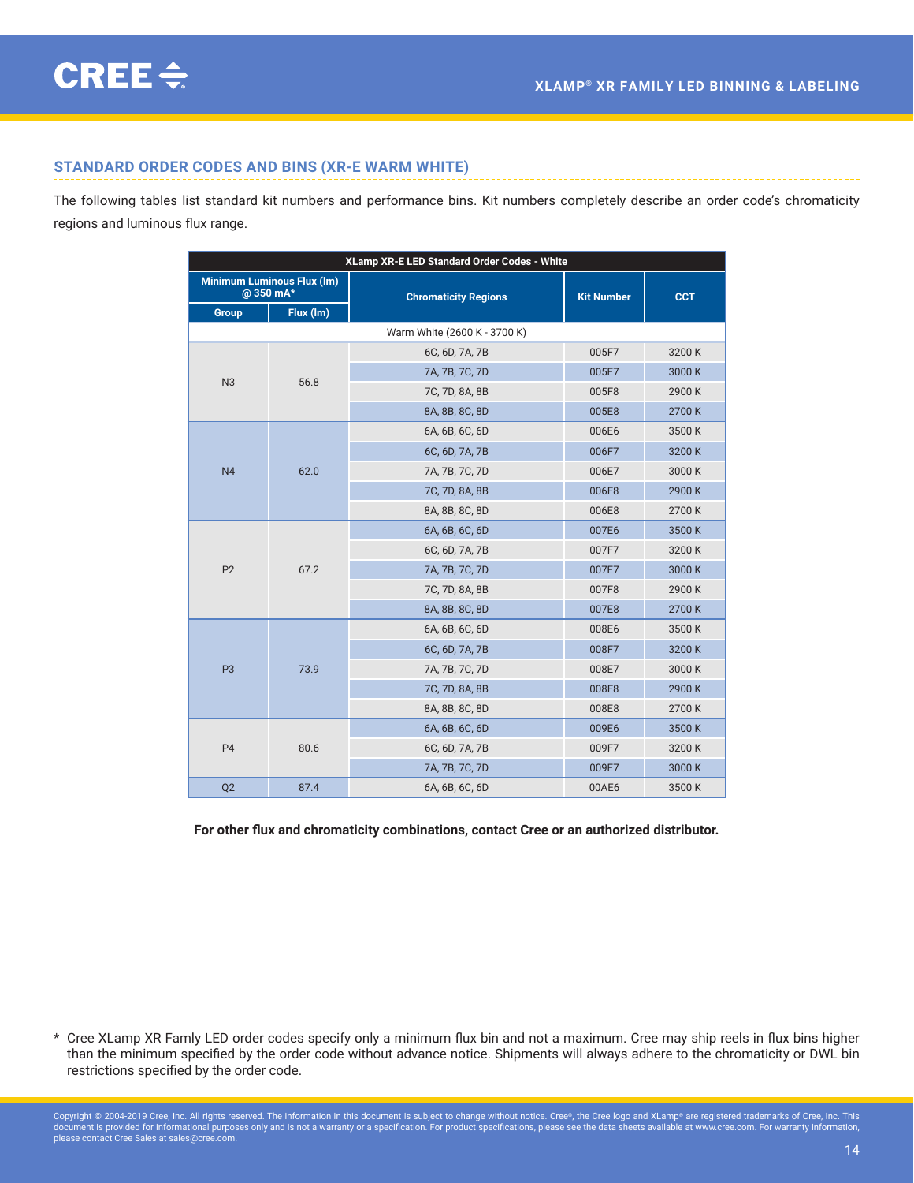# <span id="page-13-0"></span>**STANDARD ORDER CODES AND BINS (XR-E WARM WHITE)**

The following tables list standard kit numbers and performance bins. Kit numbers completely describe an order code's chromaticity regions and luminous flux range.

| XLamp XR-E LED Standard Order Codes - White   |                              |                             |                   |            |  |  |  |  |
|-----------------------------------------------|------------------------------|-----------------------------|-------------------|------------|--|--|--|--|
| <b>Minimum Luminous Flux (Im)</b><br>@350 mA* |                              | <b>Chromaticity Regions</b> | <b>Kit Number</b> | <b>CCT</b> |  |  |  |  |
| Group                                         | Flux (Im)                    |                             |                   |            |  |  |  |  |
|                                               | Warm White (2600 K - 3700 K) |                             |                   |            |  |  |  |  |
|                                               | 56.8                         | 6C, 6D, 7A, 7B              | 005F7             | 3200K      |  |  |  |  |
| N <sub>3</sub>                                |                              | 7A, 7B, 7C, 7D              | 005E7             | 3000K      |  |  |  |  |
|                                               |                              | 7C, 7D, 8A, 8B              | 005F8             | 2900K      |  |  |  |  |
|                                               |                              | 8A, 8B, 8C, 8D              | 005E8             | 2700K      |  |  |  |  |
|                                               | 62.0                         | 6A, 6B, 6C, 6D              | 006E6             | 3500K      |  |  |  |  |
|                                               |                              | 6C, 6D, 7A, 7B              | 006F7             | 3200K      |  |  |  |  |
| N <sub>4</sub>                                |                              | 7A, 7B, 7C, 7D              | 006E7             | 3000K      |  |  |  |  |
|                                               |                              | 7C, 7D, 8A, 8B              | 006F8             | 2900K      |  |  |  |  |
|                                               |                              | 8A, 8B, 8C, 8D              | 006E8             | 2700K      |  |  |  |  |
|                                               | 67.2                         | 6A, 6B, 6C, 6D              | 007E6             | 3500K      |  |  |  |  |
|                                               |                              | 6C, 6D, 7A, 7B              | 007F7             | 3200K      |  |  |  |  |
| P <sub>2</sub>                                |                              | 7A, 7B, 7C, 7D              | 007E7             | 3000K      |  |  |  |  |
|                                               |                              | 7C, 7D, 8A, 8B              | 007F8             | 2900K      |  |  |  |  |
|                                               |                              | 8A, 8B, 8C, 8D              | 007E8             | 2700K      |  |  |  |  |
|                                               | 73.9                         | 6A, 6B, 6C, 6D              | 008E6             | 3500K      |  |  |  |  |
|                                               |                              | 6C, 6D, 7A, 7B              | 008F7             | 3200K      |  |  |  |  |
| P <sub>3</sub>                                |                              | 7A, 7B, 7C, 7D              | 008E7             | 3000K      |  |  |  |  |
|                                               |                              | 7C, 7D, 8A, 8B              | 008F8             | 2900K      |  |  |  |  |
|                                               |                              | 8A, 8B, 8C, 8D              | 008E8             | 2700K      |  |  |  |  |
|                                               | 80.6                         | 6A, 6B, 6C, 6D              | 009E6             | 3500K      |  |  |  |  |
| <b>P4</b>                                     |                              | 6C, 6D, 7A, 7B              | 009F7             | 3200K      |  |  |  |  |
|                                               |                              | 7A, 7B, 7C, 7D              | 009E7             | 3000K      |  |  |  |  |
| Q <sub>2</sub>                                | 87.4                         | 6A, 6B, 6C, 6D              | 00AE6             | 3500K      |  |  |  |  |

**For other flux and chromaticity combinations, contact Cree or an authorized distributor.**